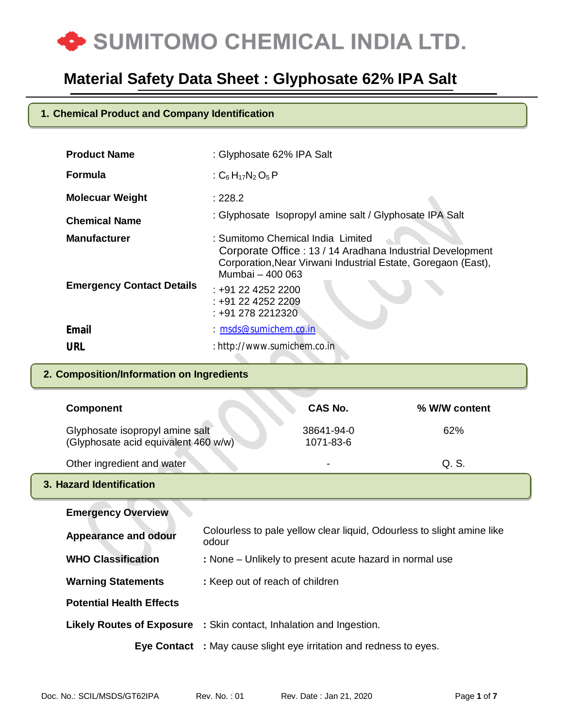

### **1. Chemical Product and Company Identification**

| <b>Product Name</b>              | : Glyphosate 62% IPA Salt                                                                                                                                                           |
|----------------------------------|-------------------------------------------------------------------------------------------------------------------------------------------------------------------------------------|
| <b>Formula</b>                   | : $C_6H_{17}N_2O_5P$                                                                                                                                                                |
| <b>Molecuar Weight</b>           | : 228.2                                                                                                                                                                             |
| <b>Chemical Name</b>             | : Glyphosate Isopropyl amine salt / Glyphosate IPA Salt                                                                                                                             |
| <b>Manufacturer</b>              | : Sumitomo Chemical India Limited<br>Corporate Office: 13 / 14 Aradhana Industrial Development<br>Corporation, Near Virwani Industrial Estate, Goregaon (East),<br>Mumbai - 400 063 |
| <b>Emergency Contact Details</b> | : +91 22 4252 2200<br>$: +912242522209$<br>: +91 278 2212320                                                                                                                        |
| <b>Email</b>                     | $: m$ sds@sumichem.co.in                                                                                                                                                            |
| <b>URL</b>                       | : http://www.sumichem.co.in                                                                                                                                                         |

### **2. Composition/Information on Ingredients**

|       | CAS No.                                                                 | % W/W content                                                                                                                                                                                                                                                                                                                   |
|-------|-------------------------------------------------------------------------|---------------------------------------------------------------------------------------------------------------------------------------------------------------------------------------------------------------------------------------------------------------------------------------------------------------------------------|
|       | 38641-94-0<br>1071-83-6                                                 | 62%                                                                                                                                                                                                                                                                                                                             |
|       |                                                                         | Q. S.                                                                                                                                                                                                                                                                                                                           |
|       |                                                                         |                                                                                                                                                                                                                                                                                                                                 |
|       |                                                                         |                                                                                                                                                                                                                                                                                                                                 |
| odour |                                                                         |                                                                                                                                                                                                                                                                                                                                 |
|       |                                                                         |                                                                                                                                                                                                                                                                                                                                 |
|       |                                                                         |                                                                                                                                                                                                                                                                                                                                 |
|       |                                                                         |                                                                                                                                                                                                                                                                                                                                 |
|       |                                                                         |                                                                                                                                                                                                                                                                                                                                 |
|       |                                                                         |                                                                                                                                                                                                                                                                                                                                 |
|       | Glyphosate isopropyl amine salt<br>(Glyphosate acid equivalent 460 w/w) | Colourless to pale yellow clear liquid, Odourless to slight amine like<br>: None – Unlikely to present acute hazard in normal use<br>: Keep out of reach of children<br><b>Likely Routes of Exposure</b> : Skin contact, Inhalation and Ingestion.<br><b>Eye Contact</b> : May cause slight eye irritation and redness to eyes. |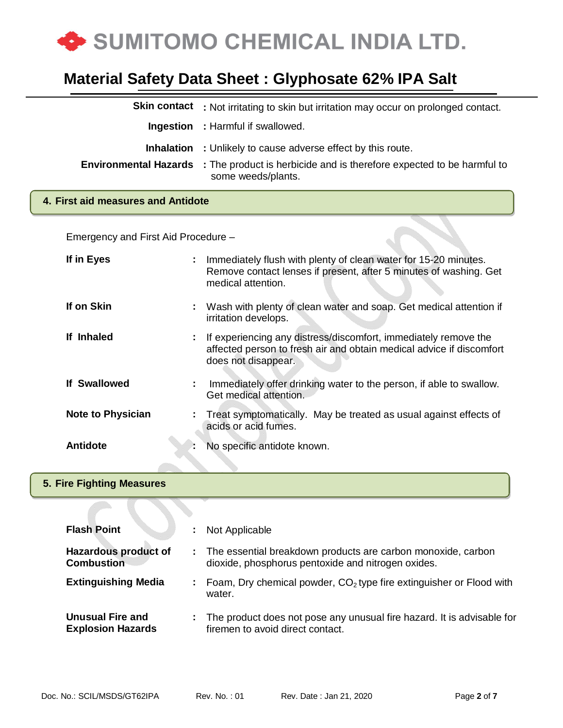

| <b>Skin contact</b> | : Not irritating to skin but irritation may occur on prolonged contact.                                                  |
|---------------------|--------------------------------------------------------------------------------------------------------------------------|
|                     | <b>Ingestion</b> : Harmful if swallowed.                                                                                 |
|                     | <b>Inhalation</b> : Unlikely to cause adverse effect by this route.                                                      |
|                     | <b>Environmental Hazards</b> : The product is herbicide and is therefore expected to be harmful to<br>some weeds/plants. |
|                     |                                                                                                                          |

#### **4. First aid measures and Antidote**

Emergency and First Aid Procedure –

| If in Eyes               |    | Immediately flush with plenty of clean water for 15-20 minutes.<br>Remove contact lenses if present, after 5 minutes of washing. Get<br>medical attention.     |
|--------------------------|----|----------------------------------------------------------------------------------------------------------------------------------------------------------------|
| If on Skin               |    | Wash with plenty of clean water and soap. Get medical attention if<br>irritation develops.                                                                     |
| If Inhaled               | ÷  | If experiencing any distress/discomfort, immediately remove the<br>affected person to fresh air and obtain medical advice if discomfort<br>does not disappear. |
| <b>If Swallowed</b>      | ÷. | Immediately offer drinking water to the person, if able to swallow.<br>Get medical attention.                                                                  |
| <b>Note to Physician</b> |    | Treat symptomatically. May be treated as usual against effects of<br>acids or acid fumes.                                                                      |
| <b>Antidote</b>          |    | No specific antidote known.                                                                                                                                    |

#### **5. Fire Fighting Measures**

| <b>Flash Point</b>                                  |     | Not Applicable                                                                                                       |
|-----------------------------------------------------|-----|----------------------------------------------------------------------------------------------------------------------|
| <b>Hazardous product of</b><br><b>Combustion</b>    |     | : The essential breakdown products are carbon monoxide, carbon<br>dioxide, phosphorus pentoxide and nitrogen oxides. |
| <b>Extinguishing Media</b>                          | a n | Foam, Dry chemical powder, $CO2$ type fire extinguisher or Flood with<br>water.                                      |
| <b>Unusual Fire and</b><br><b>Explosion Hazards</b> | ÷.  | The product does not pose any unusual fire hazard. It is advisable for<br>firemen to avoid direct contact.           |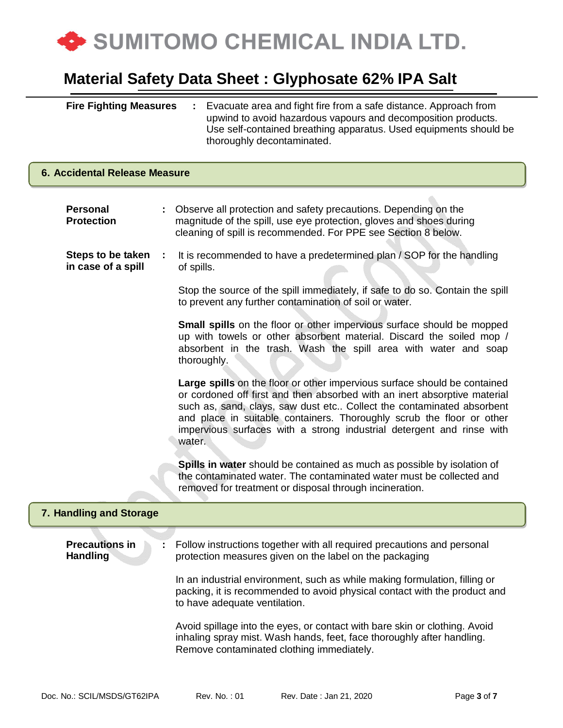

| <b>Fire Fighting Measures</b> | : Evacuate area and fight fire from a safe distance. Approach from |
|-------------------------------|--------------------------------------------------------------------|
|                               | upwind to avoid hazardous vapours and decomposition products.      |
|                               | Use self-contained breathing apparatus. Used equipments should be  |
|                               | thoroughly decontaminated.                                         |

### **Personal Protection :** Observe all protection and safety precautions. Depending on the magnitude of the spill, use eye protection, gloves and shoes during cleaning of spill is recommended. For PPE see Section 8 below. **Steps to be taken in case of a spill :** It is recommended to have a predetermined plan / SOP for the handling of spills. Stop the source of the spill immediately, if safe to do so. Contain the spill to prevent any further contamination of soil or water. **Small spills** on the floor or other impervious surface should be mopped up with towels or other absorbent material. Discard the soiled mop / absorbent in the trash. Wash the spill area with water and soap thoroughly. **Large spills** on the floor or other impervious surface should be contained or cordoned off first and then absorbed with an inert absorptive material such as, sand, clays, saw dust etc.. Collect the contaminated absorbent and place in suitable containers. Thoroughly scrub the floor or other impervious surfaces with a strong industrial detergent and rinse with water. **Spills in water** should be contained as much as possible by isolation of the contaminated water. The contaminated water must be collected and removed for treatment or disposal through incineration. **Precautions in Handling :** Follow instructions together with all required precautions and personal protection measures given on the label on the packaging In an industrial environment, such as while making formulation, filling or packing, it is recommended to avoid physical contact with the product and to have adequate ventilation. Avoid spillage into the eyes, or contact with bare skin or clothing. Avoid inhaling spray mist. Wash hands, feet, face thoroughly after handling. **6. Accidental Release Measure 7. Handling and Storage**

Remove contaminated clothing immediately.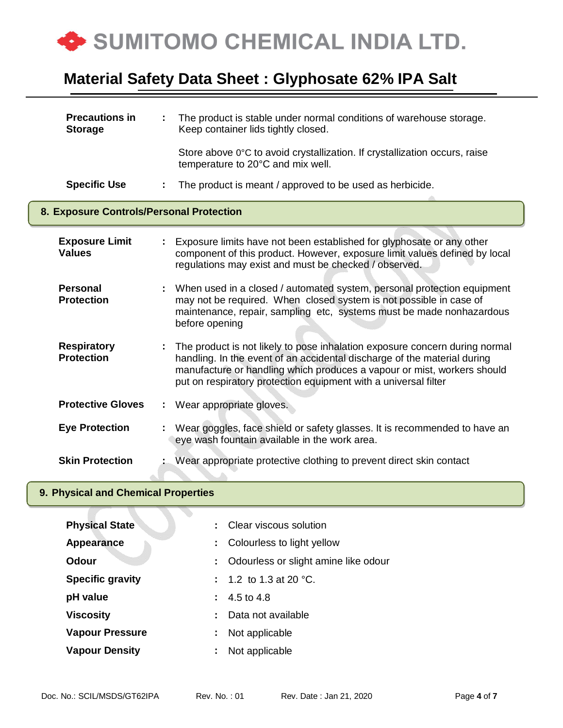

| <b>Precautions in</b><br><b>Storage</b>  | The product is stable under normal conditions of warehouse storage.<br>Keep container lids tightly closed.                                                                                                                                                                                            |  |
|------------------------------------------|-------------------------------------------------------------------------------------------------------------------------------------------------------------------------------------------------------------------------------------------------------------------------------------------------------|--|
|                                          | Store above 0°C to avoid crystallization. If crystallization occurs, raise<br>temperature to 20°C and mix well.                                                                                                                                                                                       |  |
| <b>Specific Use</b>                      | The product is meant / approved to be used as herbicide.                                                                                                                                                                                                                                              |  |
| 8. Exposure Controls/Personal Protection |                                                                                                                                                                                                                                                                                                       |  |
| <b>Exposure Limit</b><br><b>Values</b>   | Exposure limits have not been established for glyphosate or any other<br>component of this product. However, exposure limit values defined by local<br>regulations may exist and must be checked / observed.                                                                                          |  |
| <b>Personal</b><br><b>Protection</b>     | When used in a closed / automated system, personal protection equipment<br>may not be required. When closed system is not possible in case of<br>maintenance, repair, sampling etc, systems must be made nonhazardous<br>before opening                                                               |  |
| <b>Respiratory</b><br><b>Protection</b>  | The product is not likely to pose inhalation exposure concern during normal<br>handling. In the event of an accidental discharge of the material during<br>manufacture or handling which produces a vapour or mist, workers should<br>put on respiratory protection equipment with a universal filter |  |
| <b>Protective Gloves</b>                 | Wear appropriate gloves.<br>÷.                                                                                                                                                                                                                                                                        |  |
| <b>Eye Protection</b>                    | Wear goggles, face shield or safety glasses. It is recommended to have an<br>eye wash fountain available in the work area.                                                                                                                                                                            |  |
| <b>Skin Protection</b>                   | Wear appropriate protective clothing to prevent direct skin contact                                                                                                                                                                                                                                   |  |

### **9. Physical and Chemical Properties**

| <b>Physical State</b>   |    | : Clear viscous solution               |
|-------------------------|----|----------------------------------------|
| Appearance              | ÷. | Colourless to light yellow             |
| <b>Odour</b>            |    | : Odourless or slight amine like odour |
| <b>Specific gravity</b> |    | : 1.2 to 1.3 at 20 $^{\circ}$ C.       |
| pH value                |    | $: 4.5 \text{ to } 4.8$                |
| <b>Viscosity</b>        |    | Data not available                     |
| <b>Vapour Pressure</b>  | ÷. | Not applicable                         |
| <b>Vapour Density</b>   | ÷. | Not applicable                         |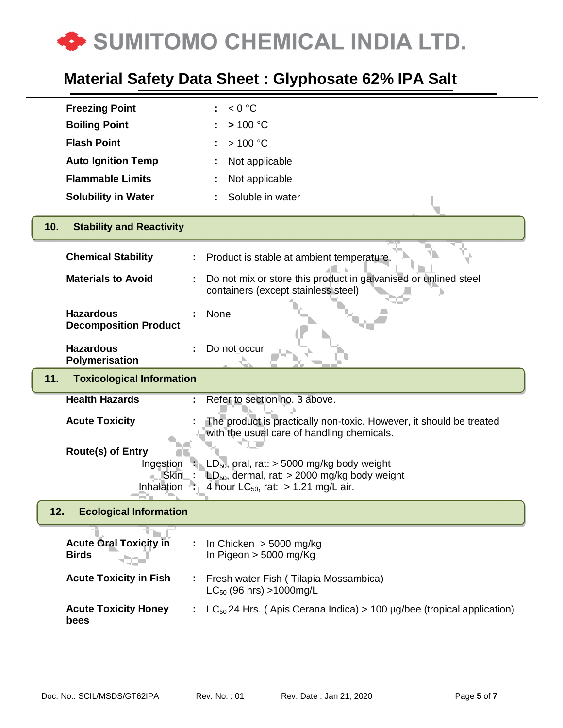

| <b>Freezing Point</b>                                                     | < 0 °C                                                                                                                                                    |
|---------------------------------------------------------------------------|-----------------------------------------------------------------------------------------------------------------------------------------------------------|
| <b>Boiling Point</b>                                                      | > 100 °C                                                                                                                                                  |
| <b>Flash Point</b>                                                        | >100 °C                                                                                                                                                   |
| <b>Auto Ignition Temp</b>                                                 | Not applicable                                                                                                                                            |
| <b>Flammable Limits</b>                                                   | Not applicable                                                                                                                                            |
| <b>Solubility in Water</b>                                                | Soluble in water                                                                                                                                          |
|                                                                           |                                                                                                                                                           |
| <b>Stability and Reactivity</b><br>10.                                    |                                                                                                                                                           |
| <b>Chemical Stability</b>                                                 | Product is stable at ambient temperature.                                                                                                                 |
| <b>Materials to Avoid</b>                                                 | Do not mix or store this product in galvanised or unlined steel<br>containers (except stainless steel)                                                    |
| <b>Hazardous</b><br><b>Decomposition Product</b>                          | None                                                                                                                                                      |
| <b>Hazardous</b><br><b>Polymerisation</b>                                 | Do not occur                                                                                                                                              |
| <b>Toxicological Information</b><br>11.                                   |                                                                                                                                                           |
|                                                                           |                                                                                                                                                           |
| <b>Health Hazards</b>                                                     | Refer to section no. 3 above.                                                                                                                             |
| <b>Acute Toxicity</b>                                                     | The product is practically non-toxic. However, it should be treated<br>with the usual care of handling chemicals.                                         |
| <b>Route(s) of Entry</b><br>Ingestion<br><b>Skin</b><br><b>Inhalation</b> | $LD_{50}$ , oral, rat: > 5000 mg/kg body weight<br>$LD_{50}$ , dermal, rat: > 2000 mg/kg body weight<br>4 hour LC <sub>50</sub> , rat: $> 1.21$ mg/L air. |
| <b>Ecological Information</b><br>12.                                      |                                                                                                                                                           |
| <b>Acute Oral Toxicity in</b><br><b>Birds</b>                             | In Chicken $>$ 5000 mg/kg<br>In Pigeon $> 5000$ mg/Kg                                                                                                     |
| <b>Acute Toxicity in Fish</b>                                             | Fresh water Fish (Tilapia Mossambica)<br>$LC_{50}$ (96 hrs) >1000mg/L                                                                                     |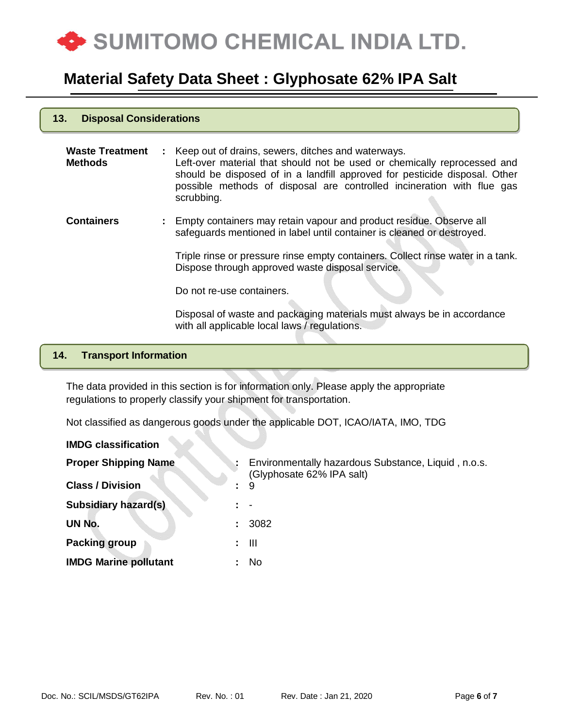

| 13.<br><b>Disposal Considerations</b>    |                                                                                                                                                                                                              |  |  |  |
|------------------------------------------|--------------------------------------------------------------------------------------------------------------------------------------------------------------------------------------------------------------|--|--|--|
| <b>Waste Treatment</b><br><b>Methods</b> | Keep out of drains, sewers, ditches and waterways.<br>Left-over material that should not be used or chemically reprocessed and<br>should be disposed of in a landfill approved for pesticide disposal. Other |  |  |  |

possible methods of disposal are controlled incineration with flue gas scrubbing.

**Containers :** Empty containers may retain vapour and product residue. Observe all safeguards mentioned in label until container is cleaned or destroyed.

> Triple rinse or pressure rinse empty containers. Collect rinse water in a tank. Dispose through approved waste disposal service.

Do not re-use containers.

Disposal of waste and packaging materials must always be in accordance with all applicable local laws / regulations.

#### **14. Transport Information**

m.

**13. Disposal Considerations**

The data provided in this section is for information only. Please apply the appropriate regulations to properly classify your shipment for transportation.

Not classified as dangerous goods under the applicable DOT, ICAO/IATA, IMO, TDG

| <b>IMDG classification</b>   |    |                                                                                  |
|------------------------------|----|----------------------------------------------------------------------------------|
| <b>Proper Shipping Name</b>  |    | Environmentally hazardous Substance, Liquid, n.o.s.<br>(Glyphosate 62% IPA salt) |
| <b>Class / Division</b>      | ÷. | 9                                                                                |
| <b>Subsidiary hazard(s)</b>  |    |                                                                                  |
| UN No.                       |    | 3082                                                                             |
| <b>Packing group</b>         |    | - III                                                                            |
| <b>IMDG Marine pollutant</b> |    | No.                                                                              |